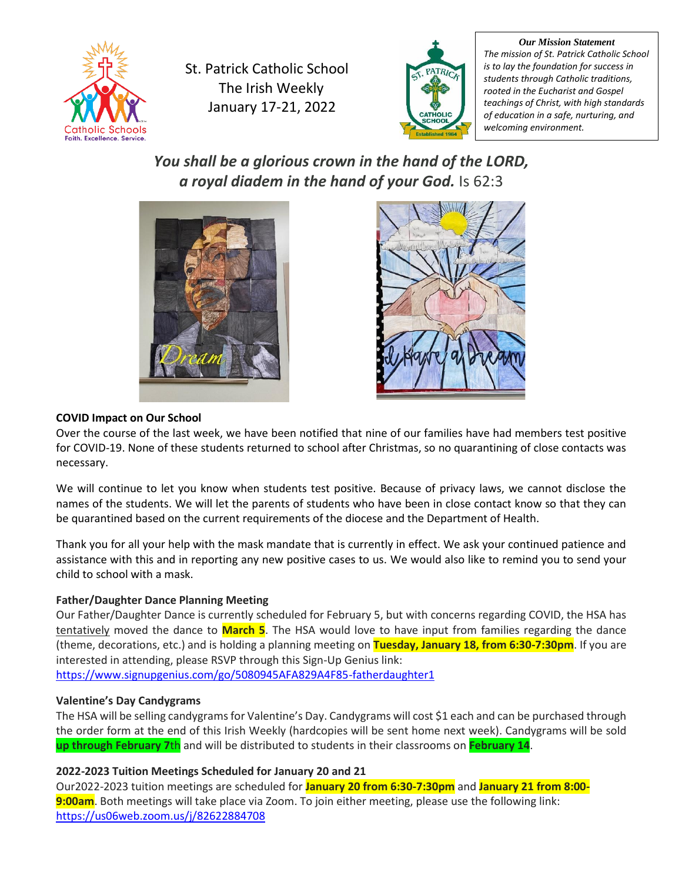

St. Patrick Catholic School The Irish Weekly January 17-21, 2022



*Our Mission Statement The mission of St. Patrick Catholic School is to lay the foundation for success in students through Catholic traditions, rooted in the Eucharist and Gospel teachings of Christ, with high standards of education in a safe, nurturing, and welcoming environment.*

*You shall be a glorious crown in the hand of the LORD, a royal diadem in the hand of your God.* Is 62:3





# **COVID Impact on Our School**

Over the course of the last week, we have been notified that nine of our families have had members test positive for COVID-19. None of these students returned to school after Christmas, so no quarantining of close contacts was necessary.

We will continue to let you know when students test positive. Because of privacy laws, we cannot disclose the names of the students. We will let the parents of students who have been in close contact know so that they can be quarantined based on the current requirements of the diocese and the Department of Health.

Thank you for all your help with the mask mandate that is currently in effect. We ask your continued patience and assistance with this and in reporting any new positive cases to us. We would also like to remind you to send your child to school with a mask.

# **Father/Daughter Dance Planning Meeting**

Our Father/Daughter Dance is currently scheduled for February 5, but with concerns regarding COVID, the HSA has tentatively moved the dance to **March 5**. The HSA would love to have input from families regarding the dance (theme, decorations, etc.) and is holding a planning meeting on **Tuesday, January 18, from 6:30-7:30pm**. If you are interested in attending, please RSVP through this Sign-Up Genius link:

<https://www.signupgenius.com/go/5080945AFA829A4F85-fatherdaughter1>

# **Valentine's Day Candygrams**

The HSA will be selling candygrams for Valentine's Day. Candygrams will cost \$1 each and can be purchased through the order form at the end of this Irish Weekly (hardcopies will be sent home next week). Candygrams will be sold **up through February 7**th and will be distributed to students in their classrooms on **February 14**.

# **2022-2023 Tuition Meetings Scheduled for January 20 and 21**

Our2022-2023 tuition meetings are scheduled for **January 20 from 6:30-7:30pm** and **January 21 from 8:00- 9:00am**. Both meetings will take place via Zoom. To join either meeting, please use the following link: <https://us06web.zoom.us/j/82622884708>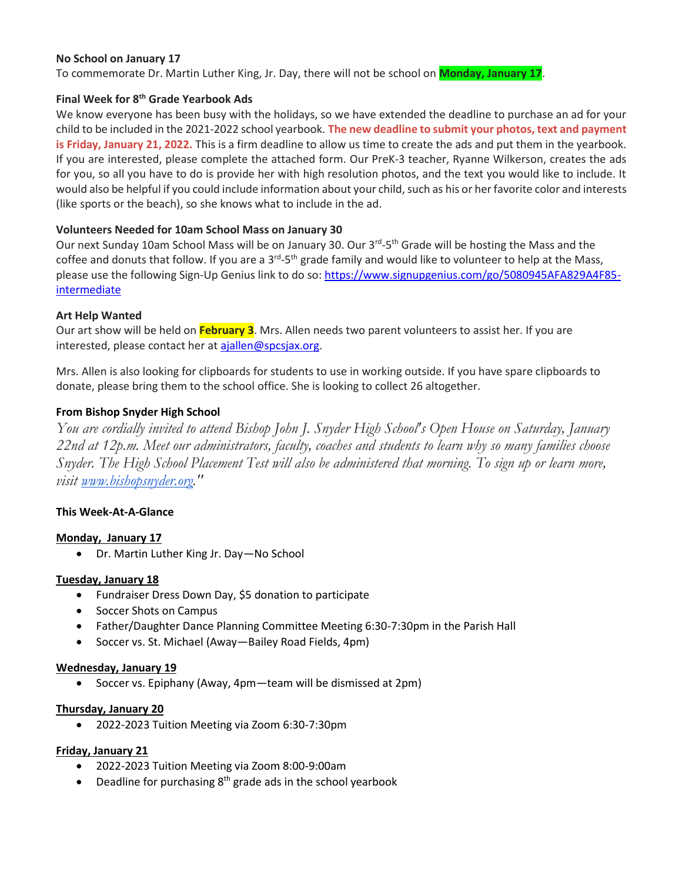## **No School on January 17**

To commemorate Dr. Martin Luther King, Jr. Day, there will not be school on **Monday, January 17**.

# **Final Week for 8th Grade Yearbook Ads**

We know everyone has been busy with the holidays, so we have extended the deadline to purchase an ad for your child to be included in the 2021-2022 school yearbook. **The new deadline to submit your photos, text and payment is Friday, January 21, 2022.** This is a firm deadline to allow us time to create the ads and put them in the yearbook. If you are interested, please complete the attached form. Our PreK-3 teacher, Ryanne Wilkerson, creates the ads for you, so all you have to do is provide her with high resolution photos, and the text you would like to include. It would also be helpful if you could include information about your child, such as his or her favorite color and interests (like sports or the beach), so she knows what to include in the ad.

## **Volunteers Needed for 10am School Mass on January 30**

Our next Sunday 10am School Mass will be on January 30. Our 3<sup>rd</sup>-5<sup>th</sup> Grade will be hosting the Mass and the coffee and donuts that follow. If you are a 3<sup>rd</sup>-5<sup>th</sup> grade family and would like to volunteer to help at the Mass, please use the following Sign-Up Genius link to do so[: https://www.signupgenius.com/go/5080945AFA829A4F85](https://www.signupgenius.com/go/5080945AFA829A4F85-intermediate) [intermediate](https://www.signupgenius.com/go/5080945AFA829A4F85-intermediate)

## **Art Help Wanted**

Our art show will be held on **February 3**. Mrs. Allen needs two parent volunteers to assist her. If you are interested, please contact her at [ajallen@spcsjax.org.](mailto:ajallen@spcsjax.org)

Mrs. Allen is also looking for clipboards for students to use in working outside. If you have spare clipboards to donate, please bring them to the school office. She is looking to collect 26 altogether.

## **From Bishop Snyder High School**

*You are cordially invited to attend Bishop John J. Snyder High School's Open House on Saturday, January 22nd at 12p.m. Meet our administrators, faculty, coaches and students to learn why so many families choose Snyder. The High School Placement Test will also be administered that morning. To sign up or learn more, visit [www.bishopsnyder.org.](http://www.bishopsnyder.org/)"*

#### **This Week-At-A-Glance**

#### **Monday, January 17**

• Dr. Martin Luther King Jr. Day—No School

#### **Tuesday, January 18**

- Fundraiser Dress Down Day, \$5 donation to participate
- Soccer Shots on Campus
- Father/Daughter Dance Planning Committee Meeting 6:30-7:30pm in the Parish Hall
- Soccer vs. St. Michael (Away—Bailey Road Fields, 4pm)

#### **Wednesday, January 19**

• Soccer vs. Epiphany (Away, 4pm—team will be dismissed at 2pm)

#### **Thursday, January 20**

• 2022-2023 Tuition Meeting via Zoom 6:30-7:30pm

#### **Friday, January 21**

- 2022-2023 Tuition Meeting via Zoom 8:00-9:00am
- Deadline for purchasing  $8<sup>th</sup>$  grade ads in the school yearbook